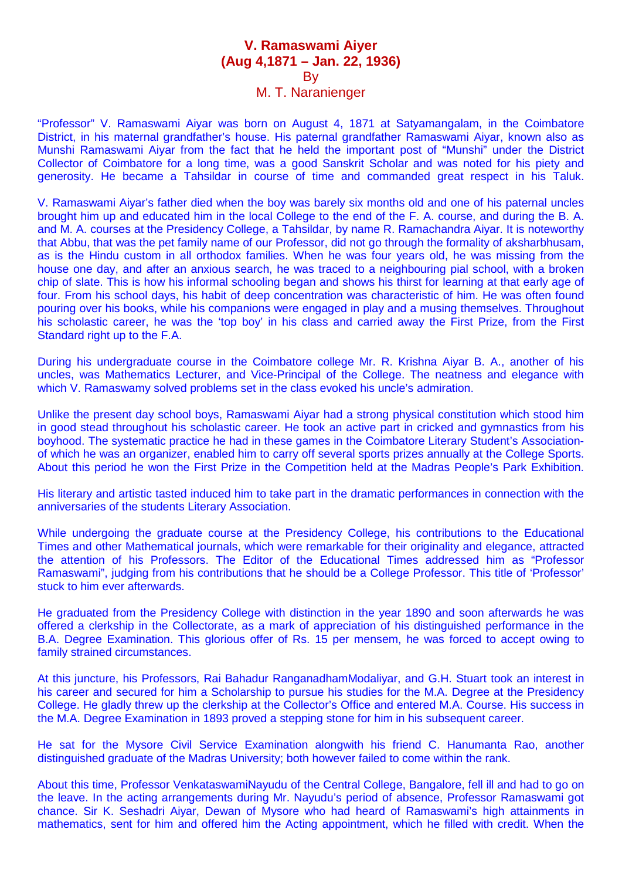## **V. Ramaswami Aiyer (Aug 4,1871 – Jan. 22, 1936) By**

## M. T. Naranienger

"Professor" V. Ramaswami Aiyar was born on August 4, 1871 at Satyamangalam, in the Coimbatore District, in his maternal grandfather's house. His paternal grandfather Ramaswami Aiyar, known also as Munshi Ramaswami Aiyar from the fact that he held the important post of "Munshi" under the District Collector of Coimbatore for a long time, was a good Sanskrit Scholar and was noted for his piety and generosity. He became a Tahsildar in course of time and commanded great respect in his Taluk.

V. Ramaswami Aiyar's father died when the boy was barely six months old and one of his paternal uncles brought him up and educated him in the local College to the end of the F. A. course, and during the B. A. and M. A. courses at the Presidency College, a Tahsildar, by name R. Ramachandra Aiyar. It is noteworthy that Abbu, that was the pet family name of our Professor, did not go through the formality of aksharbhusam, as is the Hindu custom in all orthodox families. When he was four years old, he was missing from the house one day, and after an anxious search, he was traced to a neighbouring pial school, with a broken chip of slate. This is how his informal schooling began and shows his thirst for learning at that early age of four. From his school days, his habit of deep concentration was characteristic of him. He was often found pouring over his books, while his companions were engaged in play and a musing themselves. Throughout his scholastic career, he was the 'top boy' in his class and carried away the First Prize, from the First Standard right up to the F.A.

During his undergraduate course in the Coimbatore college Mr. R. Krishna Aiyar B. A., another of his uncles, was Mathematics Lecturer, and Vice-Principal of the College. The neatness and elegance with which V. Ramaswamy solved problems set in the class evoked his uncle's admiration.

Unlike the present day school boys, Ramaswami Aiyar had a strong physical constitution which stood him in good stead throughout his scholastic career. He took an active part in cricked and gymnastics from his boyhood. The systematic practice he had in these games in the Coimbatore Literary Student's Associationof which he was an organizer, enabled him to carry off several sports prizes annually at the College Sports. About this period he won the First Prize in the Competition held at the Madras People's Park Exhibition.

His literary and artistic tasted induced him to take part in the dramatic performances in connection with the anniversaries of the students Literary Association.

While undergoing the graduate course at the Presidency College, his contributions to the Educational Times and other Mathematical journals, which were remarkable for their originality and elegance, attracted the attention of his Professors. The Editor of the Educational Times addressed him as "Professor Ramaswami", judging from his contributions that he should be a College Professor. This title of 'Professor' stuck to him ever afterwards.

He graduated from the Presidency College with distinction in the year 1890 and soon afterwards he was offered a clerkship in the Collectorate, as a mark of appreciation of his distinguished performance in the B.A. Degree Examination. This glorious offer of Rs. 15 per mensem, he was forced to accept owing to family strained circumstances.

At this juncture, his Professors, Rai Bahadur RanganadhamModaliyar, and G.H. Stuart took an interest in his career and secured for him a Scholarship to pursue his studies for the M.A. Degree at the Presidency College. He gladly threw up the clerkship at the Collector's Office and entered M.A. Course. His success in the M.A. Degree Examination in 1893 proved a stepping stone for him in his subsequent career.

He sat for the Mysore Civil Service Examination alongwith his friend C. Hanumanta Rao, another distinguished graduate of the Madras University; both however failed to come within the rank.

About this time, Professor VenkataswamiNayudu of the Central College, Bangalore, fell ill and had to go on the leave. In the acting arrangements during Mr. Nayudu's period of absence, Professor Ramaswami got chance. Sir K. Seshadri Aiyar, Dewan of Mysore who had heard of Ramaswami's high attainments in mathematics, sent for him and offered him the Acting appointment, which he filled with credit. When the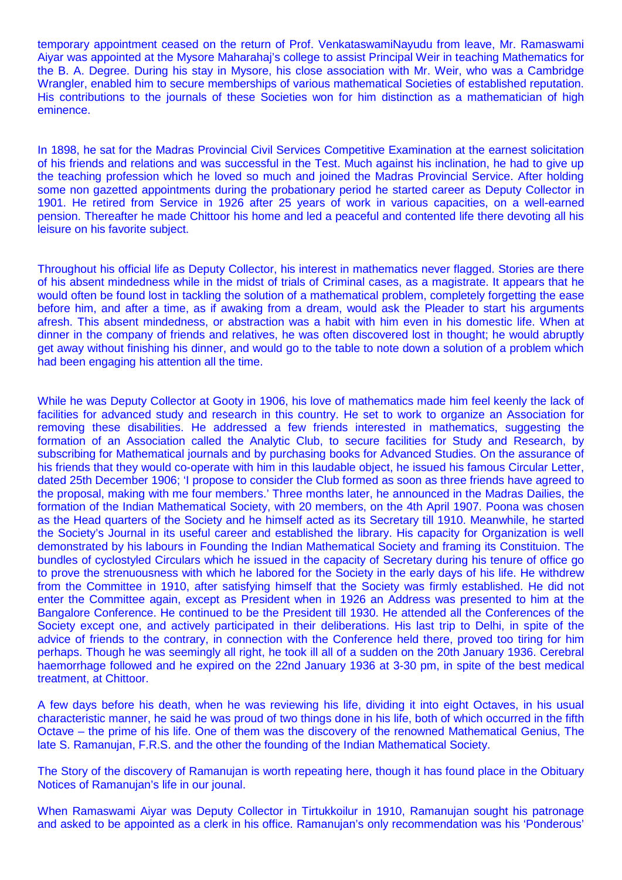temporary appointment ceased on the return of Prof. VenkataswamiNayudu from leave, Mr. Ramaswami Aiyar was appointed at the Mysore Maharahaj's college to assist Principal Weir in teaching Mathematics for the B. A. Degree. During his stay in Mysore, his close association with Mr. Weir, who was a Cambridge Wrangler, enabled him to secure memberships of various mathematical Societies of established reputation. His contributions to the journals of these Societies won for him distinction as a mathematician of high eminence.

In 1898, he sat for the Madras Provincial Civil Services Competitive Examination at the earnest solicitation of his friends and relations and was successful in the Test. Much against his inclination, he had to give up the teaching profession which he loved so much and joined the Madras Provincial Service. After holding some non gazetted appointments during the probationary period he started career as Deputy Collector in 1901. He retired from Service in 1926 after 25 years of work in various capacities, on a well-earned pension. Thereafter he made Chittoor his home and led a peaceful and contented life there devoting all his leisure on his favorite subject.

Throughout his official life as Deputy Collector, his interest in mathematics never flagged. Stories are there of his absent mindedness while in the midst of trials of Criminal cases, as a magistrate. It appears that he would often be found lost in tackling the solution of a mathematical problem, completely forgetting the ease before him, and after a time, as if awaking from a dream, would ask the Pleader to start his arguments afresh. This absent mindedness, or abstraction was a habit with him even in his domestic life. When at dinner in the company of friends and relatives, he was often discovered lost in thought; he would abruptly get away without finishing his dinner, and would go to the table to note down a solution of a problem which had been engaging his attention all the time.

While he was Deputy Collector at Gooty in 1906, his love of mathematics made him feel keenly the lack of facilities for advanced study and research in this country. He set to work to organize an Association for removing these disabilities. He addressed a few friends interested in mathematics, suggesting the formation of an Association called the Analytic Club, to secure facilities for Study and Research, by subscribing for Mathematical journals and by purchasing books for Advanced Studies. On the assurance of his friends that they would co-operate with him in this laudable object, he issued his famous Circular Letter, dated 25th December 1906; 'I propose to consider the Club formed as soon as three friends have agreed to the proposal, making with me four members.' Three months later, he announced in the Madras Dailies, the formation of the Indian Mathematical Society, with 20 members, on the 4th April 1907. Poona was chosen as the Head quarters of the Society and he himself acted as its Secretary till 1910. Meanwhile, he started the Society's Journal in its useful career and established the library. His capacity for Organization is well demonstrated by his labours in Founding the Indian Mathematical Society and framing its Constituion. The bundles of cyclostyled Circulars which he issued in the capacity of Secretary during his tenure of office go to prove the strenuousness with which he labored for the Society in the early days of his life. He withdrew from the Committee in 1910, after satisfying himself that the Society was firmly established. He did not enter the Committee again, except as President when in 1926 an Address was presented to him at the Bangalore Conference. He continued to be the President till 1930. He attended all the Conferences of the Society except one, and actively participated in their deliberations. His last trip to Delhi, in spite of the advice of friends to the contrary, in connection with the Conference held there, proved too tiring for him perhaps. Though he was seemingly all right, he took ill all of a sudden on the 20th January 1936. Cerebral haemorrhage followed and he expired on the 22nd January 1936 at 3-30 pm, in spite of the best medical treatment, at Chittoor.

A few days before his death, when he was reviewing his life, dividing it into eight Octaves, in his usual characteristic manner, he said he was proud of two things done in his life, both of which occurred in the fifth Octave – the prime of his life. One of them was the discovery of the renowned Mathematical Genius, The late S. Ramanujan, F.R.S. and the other the founding of the Indian Mathematical Society.

The Story of the discovery of Ramanujan is worth repeating here, though it has found place in the Obituary Notices of Ramanujan's life in our jounal.

When Ramaswami Aiyar was Deputy Collector in Tirtukkoilur in 1910, Ramanujan sought his patronage and asked to be appointed as a clerk in his office. Ramanujan's only recommendation was his 'Ponderous'